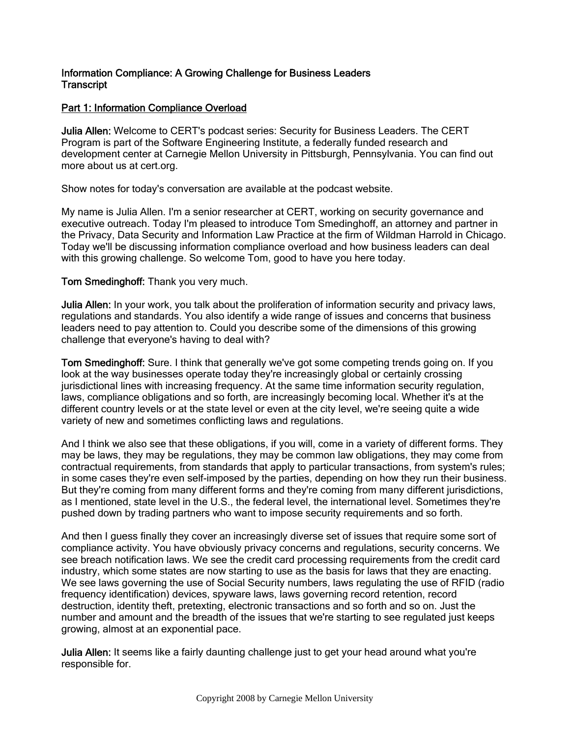#### Information Compliance: A Growing Challenge for Business Leaders **Transcript**

# Part 1: Information Compliance Overload

Julia Allen: Welcome to CERT's podcast series: Security for Business Leaders. The CERT Program is part of the Software Engineering Institute, a federally funded research and development center at Carnegie Mellon University in Pittsburgh, Pennsylvania. You can find out more about us at cert.org.

Show notes for today's conversation are available at the podcast website.

My name is Julia Allen. I'm a senior researcher at CERT, working on security governance and executive outreach. Today I'm pleased to introduce Tom Smedinghoff, an attorney and partner in the Privacy, Data Security and Information Law Practice at the firm of Wildman Harrold in Chicago. Today we'll be discussing information compliance overload and how business leaders can deal with this growing challenge. So welcome Tom, good to have you here today.

### Tom Smedinghoff: Thank you very much.

Julia Allen: In your work, you talk about the proliferation of information security and privacy laws, regulations and standards. You also identify a wide range of issues and concerns that business leaders need to pay attention to. Could you describe some of the dimensions of this growing challenge that everyone's having to deal with?

Tom Smedinghoff: Sure. I think that generally we've got some competing trends going on. If you look at the way businesses operate today they're increasingly global or certainly crossing jurisdictional lines with increasing frequency. At the same time information security regulation, laws, compliance obligations and so forth, are increasingly becoming local. Whether it's at the different country levels or at the state level or even at the city level, we're seeing quite a wide variety of new and sometimes conflicting laws and regulations.

And I think we also see that these obligations, if you will, come in a variety of different forms. They may be laws, they may be regulations, they may be common law obligations, they may come from contractual requirements, from standards that apply to particular transactions, from system's rules; in some cases they're even self-imposed by the parties, depending on how they run their business. But they're coming from many different forms and they're coming from many different jurisdictions, as I mentioned, state level in the U.S., the federal level, the international level. Sometimes they're pushed down by trading partners who want to impose security requirements and so forth.

And then I guess finally they cover an increasingly diverse set of issues that require some sort of compliance activity. You have obviously privacy concerns and regulations, security concerns. We see breach notification laws. We see the credit card processing requirements from the credit card industry, which some states are now starting to use as the basis for laws that they are enacting. We see laws governing the use of Social Security numbers, laws regulating the use of RFID (radio frequency identification) devices, spyware laws, laws governing record retention, record destruction, identity theft, pretexting, electronic transactions and so forth and so on. Just the number and amount and the breadth of the issues that we're starting to see regulated just keeps growing, almost at an exponential pace.

Julia Allen: It seems like a fairly daunting challenge just to get your head around what you're responsible for.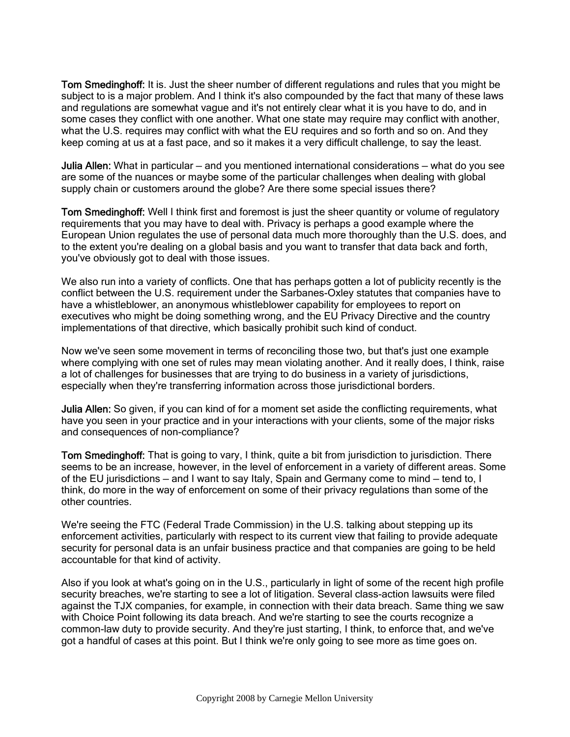Tom Smedinghoff: It is. Just the sheer number of different regulations and rules that you might be subject to is a major problem. And I think it's also compounded by the fact that many of these laws and regulations are somewhat vague and it's not entirely clear what it is you have to do, and in some cases they conflict with one another. What one state may require may conflict with another, what the U.S. requires may conflict with what the EU requires and so forth and so on. And they keep coming at us at a fast pace, and so it makes it a very difficult challenge, to say the least.

Julia Allen: What in particular — and you mentioned international considerations — what do you see are some of the nuances or maybe some of the particular challenges when dealing with global supply chain or customers around the globe? Are there some special issues there?

Tom Smedinghoff: Well I think first and foremost is just the sheer quantity or volume of regulatory requirements that you may have to deal with. Privacy is perhaps a good example where the European Union regulates the use of personal data much more thoroughly than the U.S. does, and to the extent you're dealing on a global basis and you want to transfer that data back and forth, you've obviously got to deal with those issues.

We also run into a variety of conflicts. One that has perhaps gotten a lot of publicity recently is the conflict between the U.S. requirement under the Sarbanes-Oxley statutes that companies have to have a whistleblower, an anonymous whistleblower capability for employees to report on executives who might be doing something wrong, and the EU Privacy Directive and the country implementations of that directive, which basically prohibit such kind of conduct.

Now we've seen some movement in terms of reconciling those two, but that's just one example where complying with one set of rules may mean violating another. And it really does, I think, raise a lot of challenges for businesses that are trying to do business in a variety of jurisdictions, especially when they're transferring information across those jurisdictional borders.

Julia Allen: So given, if you can kind of for a moment set aside the conflicting requirements, what have you seen in your practice and in your interactions with your clients, some of the major risks and consequences of non-compliance?

Tom Smedinghoff: That is going to vary, I think, quite a bit from jurisdiction to jurisdiction. There seems to be an increase, however, in the level of enforcement in a variety of different areas. Some of the EU jurisdictions — and I want to say Italy, Spain and Germany come to mind — tend to, I think, do more in the way of enforcement on some of their privacy regulations than some of the other countries.

We're seeing the FTC (Federal Trade Commission) in the U.S. talking about stepping up its enforcement activities, particularly with respect to its current view that failing to provide adequate security for personal data is an unfair business practice and that companies are going to be held accountable for that kind of activity.

Also if you look at what's going on in the U.S., particularly in light of some of the recent high profile security breaches, we're starting to see a lot of litigation. Several class-action lawsuits were filed against the TJX companies, for example, in connection with their data breach. Same thing we saw with Choice Point following its data breach. And we're starting to see the courts recognize a common-law duty to provide security. And they're just starting, I think, to enforce that, and we've got a handful of cases at this point. But I think we're only going to see more as time goes on.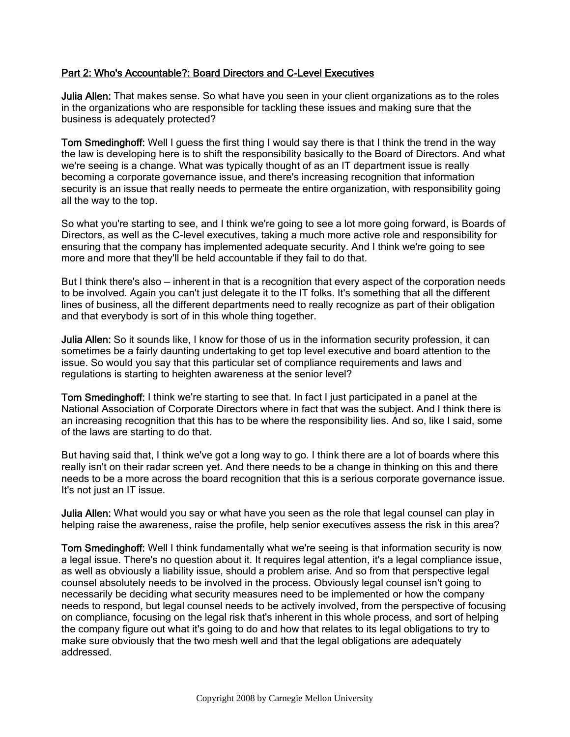# Part 2: Who's Accountable?: Board Directors and C-Level Executives

Julia Allen: That makes sense. So what have you seen in your client organizations as to the roles in the organizations who are responsible for tackling these issues and making sure that the business is adequately protected?

Tom Smedinghoff: Well I guess the first thing I would say there is that I think the trend in the way the law is developing here is to shift the responsibility basically to the Board of Directors. And what we're seeing is a change. What was typically thought of as an IT department issue is really becoming a corporate governance issue, and there's increasing recognition that information security is an issue that really needs to permeate the entire organization, with responsibility going all the way to the top.

So what you're starting to see, and I think we're going to see a lot more going forward, is Boards of Directors, as well as the C-level executives, taking a much more active role and responsibility for ensuring that the company has implemented adequate security. And I think we're going to see more and more that they'll be held accountable if they fail to do that.

But I think there's also — inherent in that is a recognition that every aspect of the corporation needs to be involved. Again you can't just delegate it to the IT folks. It's something that all the different lines of business, all the different departments need to really recognize as part of their obligation and that everybody is sort of in this whole thing together.

Julia Allen: So it sounds like, I know for those of us in the information security profession, it can sometimes be a fairly daunting undertaking to get top level executive and board attention to the issue. So would you say that this particular set of compliance requirements and laws and regulations is starting to heighten awareness at the senior level?

Tom Smedinghoff: I think we're starting to see that. In fact I just participated in a panel at the National Association of Corporate Directors where in fact that was the subject. And I think there is an increasing recognition that this has to be where the responsibility lies. And so, like I said, some of the laws are starting to do that.

But having said that, I think we've got a long way to go. I think there are a lot of boards where this really isn't on their radar screen yet. And there needs to be a change in thinking on this and there needs to be a more across the board recognition that this is a serious corporate governance issue. It's not just an IT issue.

Julia Allen: What would you say or what have you seen as the role that legal counsel can play in helping raise the awareness, raise the profile, help senior executives assess the risk in this area?

Tom Smedinghoff: Well I think fundamentally what we're seeing is that information security is now a legal issue. There's no question about it. It requires legal attention, it's a legal compliance issue, as well as obviously a liability issue, should a problem arise. And so from that perspective legal counsel absolutely needs to be involved in the process. Obviously legal counsel isn't going to necessarily be deciding what security measures need to be implemented or how the company needs to respond, but legal counsel needs to be actively involved, from the perspective of focusing on compliance, focusing on the legal risk that's inherent in this whole process, and sort of helping the company figure out what it's going to do and how that relates to its legal obligations to try to make sure obviously that the two mesh well and that the legal obligations are adequately addressed.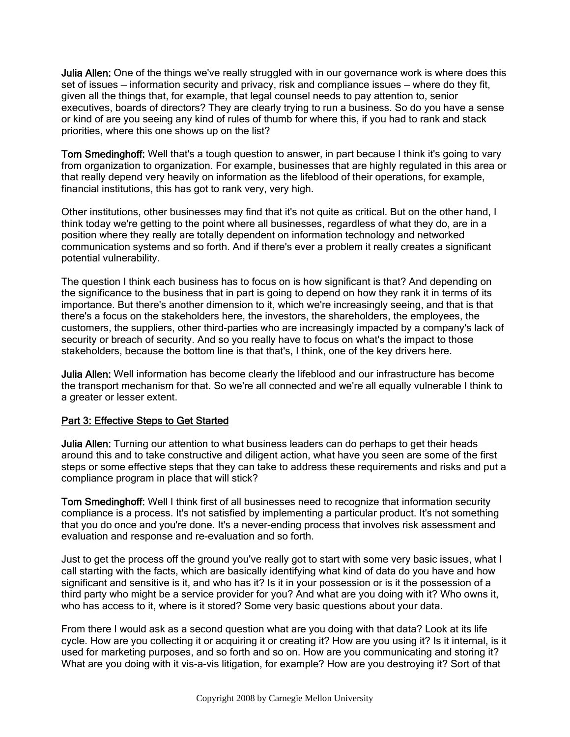**Julia Allen:** One of the things we've really struggled with in our governance work is where does this set of issues — information security and privacy, risk and compliance issues — where do they fit, given all the things that, for example, that legal counsel needs to pay attention to, senior executives, boards of directors? They are clearly trying to run a business. So do you have a sense or kind of are you seeing any kind of rules of thumb for where this, if you had to rank and stack priorities, where this one shows up on the list?

Tom Smedinghoff: Well that's a tough question to answer, in part because I think it's going to vary from organization to organization. For example, businesses that are highly regulated in this area or that really depend very heavily on information as the lifeblood of their operations, for example, financial institutions, this has got to rank very, very high.

Other institutions, other businesses may find that it's not quite as critical. But on the other hand, I think today we're getting to the point where all businesses, regardless of what they do, are in a position where they really are totally dependent on information technology and networked communication systems and so forth. And if there's ever a problem it really creates a significant potential vulnerability.

The question I think each business has to focus on is how significant is that? And depending on the significance to the business that in part is going to depend on how they rank it in terms of its importance. But there's another dimension to it, which we're increasingly seeing, and that is that there's a focus on the stakeholders here, the investors, the shareholders, the employees, the customers, the suppliers, other third-parties who are increasingly impacted by a company's lack of security or breach of security. And so you really have to focus on what's the impact to those stakeholders, because the bottom line is that that's, I think, one of the key drivers here.

Julia Allen: Well information has become clearly the lifeblood and our infrastructure has become the transport mechanism for that. So we're all connected and we're all equally vulnerable I think to a greater or lesser extent.

### Part 3: Effective Steps to Get Started

Julia Allen: Turning our attention to what business leaders can do perhaps to get their heads around this and to take constructive and diligent action, what have you seen are some of the first steps or some effective steps that they can take to address these requirements and risks and put a compliance program in place that will stick?

Tom Smedinghoff: Well I think first of all businesses need to recognize that information security compliance is a process. It's not satisfied by implementing a particular product. It's not something that you do once and you're done. It's a never-ending process that involves risk assessment and evaluation and response and re-evaluation and so forth.

Just to get the process off the ground you've really got to start with some very basic issues, what I call starting with the facts, which are basically identifying what kind of data do you have and how significant and sensitive is it, and who has it? Is it in your possession or is it the possession of a third party who might be a service provider for you? And what are you doing with it? Who owns it, who has access to it, where is it stored? Some very basic questions about your data.

From there I would ask as a second question what are you doing with that data? Look at its life cycle. How are you collecting it or acquiring it or creating it? How are you using it? Is it internal, is it used for marketing purposes, and so forth and so on. How are you communicating and storing it? What are you doing with it vis-a-vis litigation, for example? How are you destroying it? Sort of that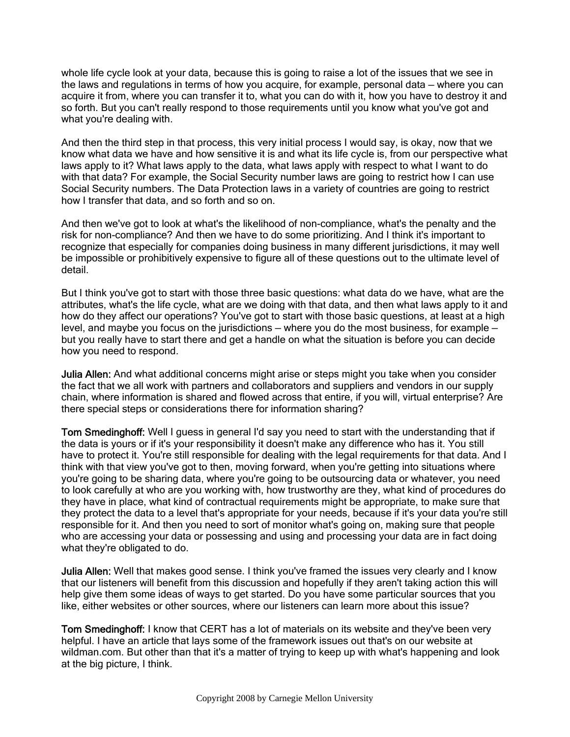whole life cycle look at your data, because this is going to raise a lot of the issues that we see in the laws and regulations in terms of how you acquire, for example, personal data — where you can acquire it from, where you can transfer it to, what you can do with it, how you have to destroy it and so forth. But you can't really respond to those requirements until you know what you've got and what you're dealing with.

And then the third step in that process, this very initial process I would say, is okay, now that we know what data we have and how sensitive it is and what its life cycle is, from our perspective what laws apply to it? What laws apply to the data, what laws apply with respect to what I want to do with that data? For example, the Social Security number laws are going to restrict how I can use Social Security numbers. The Data Protection laws in a variety of countries are going to restrict how I transfer that data, and so forth and so on.

And then we've got to look at what's the likelihood of non-compliance, what's the penalty and the risk for non-compliance? And then we have to do some prioritizing. And I think it's important to recognize that especially for companies doing business in many different jurisdictions, it may well be impossible or prohibitively expensive to figure all of these questions out to the ultimate level of detail.

But I think you've got to start with those three basic questions: what data do we have, what are the attributes, what's the life cycle, what are we doing with that data, and then what laws apply to it and how do they affect our operations? You've got to start with those basic questions, at least at a high level, and maybe you focus on the jurisdictions — where you do the most business, for example but you really have to start there and get a handle on what the situation is before you can decide how you need to respond.

Julia Allen: And what additional concerns might arise or steps might you take when you consider the fact that we all work with partners and collaborators and suppliers and vendors in our supply chain, where information is shared and flowed across that entire, if you will, virtual enterprise? Are there special steps or considerations there for information sharing?

Tom Smedinghoff: Well I guess in general I'd say you need to start with the understanding that if the data is yours or if it's your responsibility it doesn't make any difference who has it. You still have to protect it. You're still responsible for dealing with the legal requirements for that data. And I think with that view you've got to then, moving forward, when you're getting into situations where you're going to be sharing data, where you're going to be outsourcing data or whatever, you need to look carefully at who are you working with, how trustworthy are they, what kind of procedures do they have in place, what kind of contractual requirements might be appropriate, to make sure that they protect the data to a level that's appropriate for your needs, because if it's your data you're still responsible for it. And then you need to sort of monitor what's going on, making sure that people who are accessing your data or possessing and using and processing your data are in fact doing what they're obligated to do.

Julia Allen: Well that makes good sense. I think you've framed the issues very clearly and I know that our listeners will benefit from this discussion and hopefully if they aren't taking action this will help give them some ideas of ways to get started. Do you have some particular sources that you like, either websites or other sources, where our listeners can learn more about this issue?

Tom Smedinghoff: I know that CERT has a lot of materials on its website and they've been very helpful. I have an article that lays some of the framework issues out that's on our website at wildman.com. But other than that it's a matter of trying to keep up with what's happening and look at the big picture, I think.